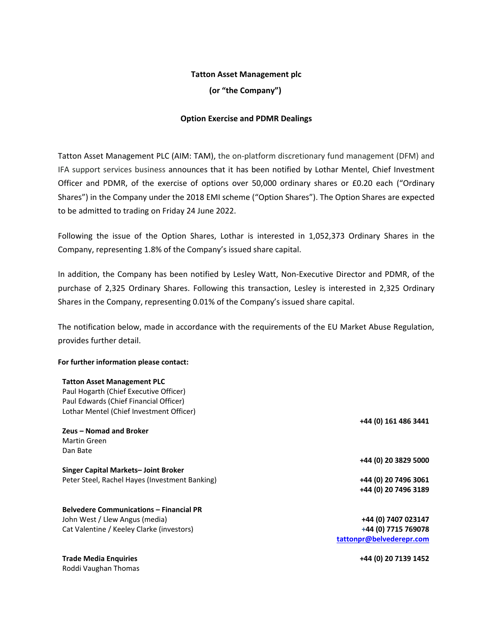### **Tatton Asset Management plc**

**(or "the Company")**

## **Option Exercise and PDMR Dealings**

Tatton Asset Management PLC (AIM: TAM), the on-platform discretionary fund management (DFM) and IFA support services business announces that it has been notified by Lothar Mentel, Chief Investment Officer and PDMR, of the exercise of options over 50,000 ordinary shares or £0.20 each ("Ordinary Shares") in the Company under the 2018 EMI scheme ("Option Shares"). The Option Shares are expected to be admitted to trading on Friday 24 June 2022.

Following the issue of the Option Shares, Lothar is interested in 1,052,373 Ordinary Shares in the Company, representing 1.8% of the Company's issued share capital.

In addition, the Company has been notified by Lesley Watt, Non-Executive Director and PDMR, of the purchase of 2,325 Ordinary Shares. Following this transaction, Lesley is interested in 2,325 Ordinary Shares in the Company, representing 0.01% of the Company's issued share capital.

The notification below, made in accordance with the requirements of the EU Market Abuse Regulation, provides further detail.

#### **For further information please contact:**

#### **Tatton Asset Management PLC**

| Paul Hogarth (Chief Executive Officer)         |                          |
|------------------------------------------------|--------------------------|
| Paul Edwards (Chief Financial Officer)         |                          |
| Lothar Mentel (Chief Investment Officer)       |                          |
|                                                | +44 (0) 161 486 3441     |
| Zeus - Nomad and Broker                        |                          |
| <b>Martin Green</b>                            |                          |
| Dan Bate                                       |                          |
|                                                | +44 (0) 20 3829 5000     |
| Singer Capital Markets-Joint Broker            |                          |
| Peter Steel, Rachel Hayes (Investment Banking) | +44 (0) 20 7496 3061     |
|                                                | +44 (0) 20 7496 3189     |
| <b>Belvedere Communications - Financial PR</b> |                          |
| John West / Llew Angus (media)                 | +44 (0) 7407 023147      |
| Cat Valentine / Keeley Clarke (investors)      | +44 (0) 7715 769078      |
|                                                | tattonpr@belvederepr.com |
| <b>Trade Media Enquiries</b>                   | +44 (0) 20 7139 1452     |
| Roddi Vaughan Thomas                           |                          |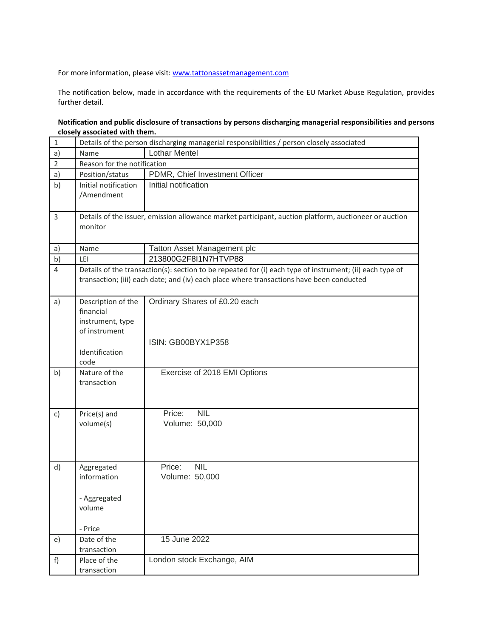For more information, please visit[: www.tattonassetmanagement.com](http://www.tattonassetmanagement.com/)

The notification below, made in accordance with the requirements of the EU Market Abuse Regulation, provides further detail.

# **Notification and public disclosure of transactions by persons discharging managerial responsibilities and persons closely associated with them.**

| $\mathbf 1$    | Details of the person discharging managerial responsibilities / person closely associated                                                                                                            |                                                     |  |
|----------------|------------------------------------------------------------------------------------------------------------------------------------------------------------------------------------------------------|-----------------------------------------------------|--|
| a)             | Name                                                                                                                                                                                                 | <b>Lothar Mentel</b>                                |  |
| $\overline{2}$ | Reason for the notification                                                                                                                                                                          |                                                     |  |
| a)             | Position/status                                                                                                                                                                                      | PDMR, Chief Investment Officer                      |  |
| b)             | Initial notification<br>/Amendment                                                                                                                                                                   | Initial notification                                |  |
| 3              | Details of the issuer, emission allowance market participant, auction platform, auctioneer or auction<br>monitor                                                                                     |                                                     |  |
| a)             | Name                                                                                                                                                                                                 | Tatton Asset Management plc                         |  |
| b)             | LEI                                                                                                                                                                                                  | 213800G2F8I1N7HTVP88                                |  |
| $\overline{4}$ | Details of the transaction(s): section to be repeated for (i) each type of instrument; (ii) each type of<br>transaction; (iii) each date; and (iv) each place where transactions have been conducted |                                                     |  |
| a)             | Description of the<br>financial<br>instrument, type<br>of instrument                                                                                                                                 | Ordinary Shares of £0.20 each<br>ISIN: GB00BYX1P358 |  |
|                | Identification<br>code                                                                                                                                                                               |                                                     |  |
| b)             | Nature of the<br>transaction                                                                                                                                                                         | Exercise of 2018 EMI Options                        |  |
| c)             | Price(s) and<br>volume(s)                                                                                                                                                                            | <b>NIL</b><br>Price:<br>Volume: 50,000              |  |
| d)             | Aggregated<br>information<br>- Aggregated<br>volume<br>- Price                                                                                                                                       | Price:<br><b>NIL</b><br>Volume: 50,000              |  |
| e)             | Date of the<br>transaction                                                                                                                                                                           | 15 June 2022                                        |  |
| f)             | Place of the<br>transaction                                                                                                                                                                          | London stock Exchange, AIM                          |  |